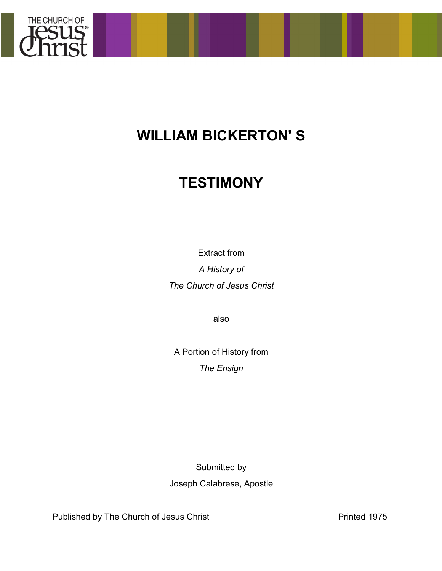

## **WILLIAM BICKERTON' S**

## **TESTIMONY**

Extract from

*A History of The Church of Jesus Christ*

also

A Portion of History from *The Ensign*

Submitted by Joseph Calabrese, Apostle

Published by The Church of Jesus Christ **Printed 1975**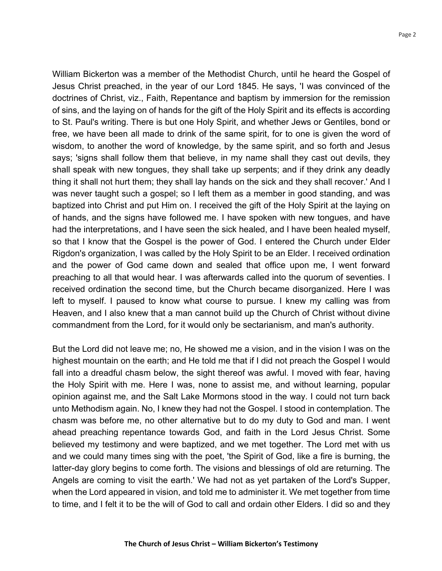William Bickerton was a member of the Methodist Church, until he heard the Gospel of Jesus Christ preached, in the year of our Lord 1845. He says, 'I was convinced of the doctrines of Christ, viz., Faith, Repentance and baptism by immersion for the remission of sins, and the laying on of hands for the gift of the Holy Spirit and its effects is according to St. Paul's writing. There is but one Holy Spirit, and whether Jews or Gentiles, bond or free, we have been all made to drink of the same spirit, for to one is given the word of wisdom, to another the word of knowledge, by the same spirit, and so forth and Jesus says; 'signs shall follow them that believe, in my name shall they cast out devils, they shall speak with new tongues, they shall take up serpents; and if they drink any deadly thing it shall not hurt them; they shall lay hands on the sick and they shall recover.' And I was never taught such a gospel; so I left them as a member in good standing, and was baptized into Christ and put Him on. I received the gift of the Holy Spirit at the laying on of hands, and the signs have followed me. I have spoken with new tongues, and have had the interpretations, and I have seen the sick healed, and I have been healed myself, so that I know that the Gospel is the power of God. I entered the Church under Elder Rigdon's organization, I was called by the Holy Spirit to be an Elder. I received ordination and the power of God came down and sealed that office upon me, I went forward preaching to all that would hear. I was afterwards called into the quorum of seventies. I received ordination the second time, but the Church became disorganized. Here I was left to myself. I paused to know what course to pursue. I knew my calling was from Heaven, and I also knew that a man cannot build up the Church of Christ without divine commandment from the Lord, for it would only be sectarianism, and man's authority.

But the Lord did not leave me; no, He showed me a vision, and in the vision I was on the highest mountain on the earth; and He told me that if I did not preach the Gospel I would fall into a dreadful chasm below, the sight thereof was awful. I moved with fear, having the Holy Spirit with me. Here I was, none to assist me, and without learning, popular opinion against me, and the Salt Lake Mormons stood in the way. I could not turn back unto Methodism again. No, I knew they had not the Gospel. I stood in contemplation. The chasm was before me, no other alternative but to do my duty to God and man. I went ahead preaching repentance towards God, and faith in the Lord Jesus Christ. Some believed my testimony and were baptized, and we met together. The Lord met with us and we could many times sing with the poet, 'the Spirit of God, like a fire is burning, the latter-day glory begins to come forth. The visions and blessings of old are returning. The Angels are coming to visit the earth.' We had not as yet partaken of the Lord's Supper, when the Lord appeared in vision, and told me to administer it. We met together from time to time, and I felt it to be the will of God to call and ordain other Elders. I did so and they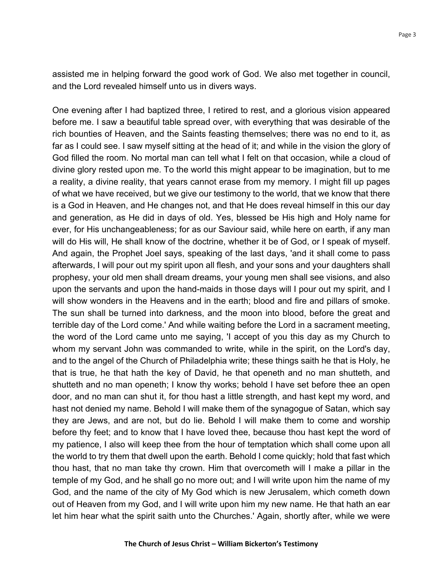assisted me in helping forward the good work of God. We also met together in council, and the Lord revealed himself unto us in divers ways.

One evening after I had baptized three, I retired to rest, and a glorious vision appeared before me. I saw a beautiful table spread over, with everything that was desirable of the rich bounties of Heaven, and the Saints feasting themselves; there was no end to it, as far as I could see. I saw myself sitting at the head of it; and while in the vision the glory of God filled the room. No mortal man can tell what I felt on that occasion, while a cloud of divine glory rested upon me. To the world this might appear to be imagination, but to me a reality, a divine reality, that years cannot erase from my memory. I might fill up pages of what we have received, but we give our testimony to the world, that we know that there is a God in Heaven, and He changes not, and that He does reveal himself in this our day and generation, as He did in days of old. Yes, blessed be His high and Holy name for ever, for His unchangeableness; for as our Saviour said, while here on earth, if any man will do His will, He shall know of the doctrine, whether it be of God, or I speak of myself. And again, the Prophet Joel says, speaking of the last days, 'and it shall come to pass afterwards, I will pour out my spirit upon all flesh, and your sons and your daughters shall prophesy, your old men shall dream dreams, your young men shall see visions, and also upon the servants and upon the hand-maids in those days will I pour out my spirit, and I will show wonders in the Heavens and in the earth; blood and fire and pillars of smoke. The sun shall be turned into darkness, and the moon into blood, before the great and terrible day of the Lord come.' And while waiting before the Lord in a sacrament meeting, the word of the Lord came unto me saying, 'I accept of you this day as my Church to whom my servant John was commanded to write, while in the spirit, on the Lord's day, and to the angel of the Church of Philadelphia write; these things saith he that is Holy, he that is true, he that hath the key of David, he that openeth and no man shutteth, and shutteth and no man openeth; I know thy works; behold I have set before thee an open door, and no man can shut it, for thou hast a little strength, and hast kept my word, and hast not denied my name. Behold I will make them of the synagogue of Satan, which say they are Jews, and are not, but do lie. Behold I will make them to come and worship before thy feet; and to know that I have loved thee, because thou hast kept the word of my patience, I also will keep thee from the hour of temptation which shall come upon all the world to try them that dwell upon the earth. Behold I come quickly; hold that fast which thou hast, that no man take thy crown. Him that overcometh will I make a pillar in the temple of my God, and he shall go no more out; and I will write upon him the name of my God, and the name of the city of My God which is new Jerusalem, which cometh down out of Heaven from my God, and I will write upon him my new name. He that hath an ear let him hear what the spirit saith unto the Churches.' Again, shortly after, while we were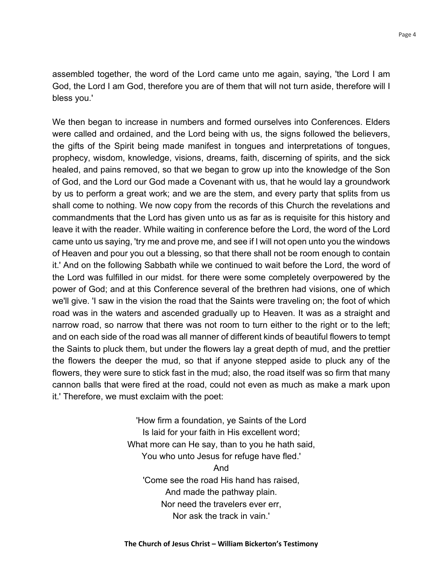assembled together, the word of the Lord came unto me again, saying, 'the Lord I am God, the Lord I am God, therefore you are of them that will not turn aside, therefore will I bless you.'

We then began to increase in numbers and formed ourselves into Conferences. Elders were called and ordained, and the Lord being with us, the signs followed the believers, the gifts of the Spirit being made manifest in tongues and interpretations of tongues, prophecy, wisdom, knowledge, visions, dreams, faith, discerning of spirits, and the sick healed, and pains removed, so that we began to grow up into the knowledge of the Son of God, and the Lord our God made a Covenant with us, that he would lay a groundwork by us to perform a great work; and we are the stem, and every party that splits from us shall come to nothing. We now copy from the records of this Church the revelations and commandments that the Lord has given unto us as far as is requisite for this history and leave it with the reader. While waiting in conference before the Lord, the word of the Lord came unto us saying, 'try me and prove me, and see if I will not open unto you the windows of Heaven and pour you out a blessing, so that there shall not be room enough to contain it.' And on the following Sabbath while we continued to wait before the Lord, the word of the Lord was fulfilled in our midst. for there were some completely overpowered by the power of God; and at this Conference several of the brethren had visions, one of which we'll give. 'I saw in the vision the road that the Saints were traveling on; the foot of which road was in the waters and ascended gradually up to Heaven. It was as a straight and narrow road, so narrow that there was not room to turn either to the right or to the left; and on each side of the road was all manner of different kinds of beautiful flowers to tempt the Saints to pluck them, but under the flowers lay a great depth of mud, and the prettier the flowers the deeper the mud, so that if anyone stepped aside to pluck any of the flowers, they were sure to stick fast in the mud; also, the road itself was so firm that many cannon balls that were fired at the road, could not even as much as make a mark upon it.' Therefore, we must exclaim with the poet:

> 'How firm a foundation, ye Saints of the Lord Is laid for your faith in His excellent word; What more can He say, than to you he hath said, You who unto Jesus for refuge have fled.' And 'Come see the road His hand has raised, And made the pathway plain. Nor need the travelers ever err, Nor ask the track in vain.'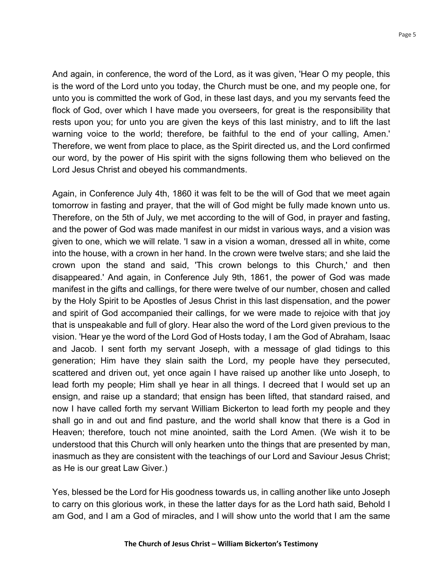And again, in conference, the word of the Lord, as it was given, 'Hear O my people, this is the word of the Lord unto you today, the Church must be one, and my people one, for unto you is committed the work of God, in these last days, and you my servants feed the flock of God, over which I have made you overseers, for great is the responsibility that rests upon you; for unto you are given the keys of this last ministry, and to lift the last warning voice to the world; therefore, be faithful to the end of your calling, Amen.' Therefore, we went from place to place, as the Spirit directed us, and the Lord confirmed our word, by the power of His spirit with the signs following them who believed on the Lord Jesus Christ and obeyed his commandments.

Again, in Conference July 4th, 1860 it was felt to be the will of God that we meet again tomorrow in fasting and prayer, that the will of God might be fully made known unto us. Therefore, on the 5th of July, we met according to the will of God, in prayer and fasting, and the power of God was made manifest in our midst in various ways, and a vision was given to one, which we will relate. 'I saw in a vision a woman, dressed all in white, come into the house, with a crown in her hand. In the crown were twelve stars; and she laid the crown upon the stand and said, 'This crown belongs to this Church,' and then disappeared.' And again, in Conference July 9th, 1861, the power of God was made manifest in the gifts and callings, for there were twelve of our number, chosen and called by the Holy Spirit to be Apostles of Jesus Christ in this last dispensation, and the power and spirit of God accompanied their callings, for we were made to rejoice with that joy that is unspeakable and full of glory. Hear also the word of the Lord given previous to the vision. 'Hear ye the word of the Lord God of Hosts today, I am the God of Abraham, Isaac and Jacob. I sent forth my servant Joseph, with a message of glad tidings to this generation; Him have they slain saith the Lord, my people have they persecuted, scattered and driven out, yet once again I have raised up another like unto Joseph, to lead forth my people; Him shall ye hear in all things. I decreed that I would set up an ensign, and raise up a standard; that ensign has been lifted, that standard raised, and now I have called forth my servant William Bickerton to lead forth my people and they shall go in and out and find pasture, and the world shall know that there is a God in Heaven; therefore, touch not mine anointed, saith the Lord Amen. (We wish it to be understood that this Church will only hearken unto the things that are presented by man, inasmuch as they are consistent with the teachings of our Lord and Saviour Jesus Christ; as He is our great Law Giver.)

Yes, blessed be the Lord for His goodness towards us, in calling another like unto Joseph to carry on this glorious work, in these the latter days for as the Lord hath said, Behold I am God, and I am a God of miracles, and I will show unto the world that I am the same